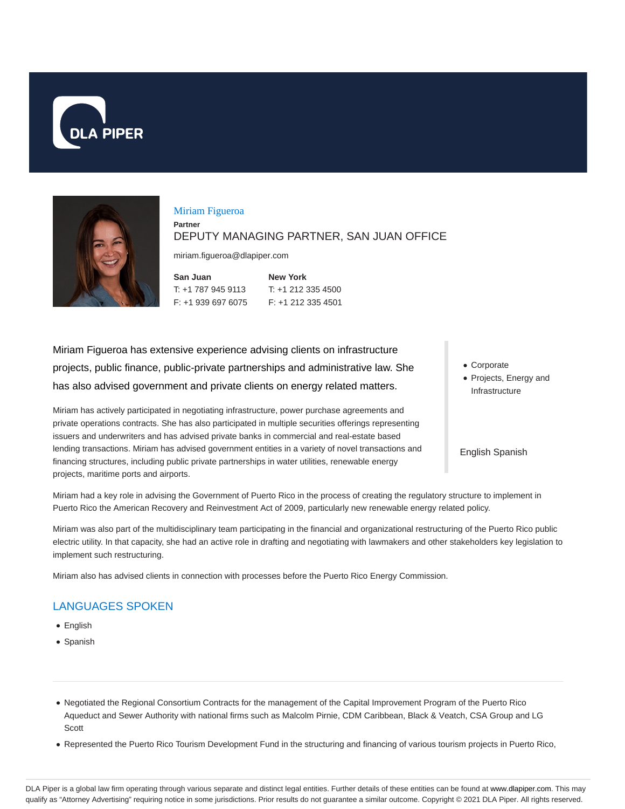



#### Miriam Figueroa

**Partner**

#### DEPUTY MANAGING PARTNER, SAN JUAN OFFICE

miriam.figueroa@dlapiper.com

| San Juan           | <b>New Yor</b> |
|--------------------|----------------|
| T: +1 787 945 9113 | $T: +1212$     |
| F: +1 939 697 6075 | $F: +1212$     |

 $\mathbf k$ 335 4500 2 335 4501

Miriam Figueroa has extensive experience advising clients on infrastructure projects, public finance, public-private partnerships and administrative law. She has also advised government and private clients on energy related matters.

Miriam has actively participated in negotiating infrastructure, power purchase agreements and private operations contracts. She has also participated in multiple securities offerings representing issuers and underwriters and has advised private banks in commercial and real-estate based lending transactions. Miriam has advised government entities in a variety of novel transactions and financing structures, including public private partnerships in water utilities, renewable energy projects, maritime ports and airports.

Corporate Projects, Energy and Infrastructure

English Spanish

Miriam had a key role in advising the Government of Puerto Rico in the process of creating the regulatory structure to implement in Puerto Rico the American Recovery and Reinvestment Act of 2009, particularly new renewable energy related policy.

Miriam was also part of the multidisciplinary team participating in the financial and organizational restructuring of the Puerto Rico public electric utility. In that capacity, she had an active role in drafting and negotiating with lawmakers and other stakeholders key legislation to implement such restructuring.

Miriam also has advised clients in connection with processes before the Puerto Rico Energy Commission.

# LANGUAGES SPOKEN

- English
- Spanish
- Negotiated the Regional Consortium Contracts for the management of the Capital Improvement Program of the Puerto Rico Aqueduct and Sewer Authority with national firms such as Malcolm Pirnie, CDM Caribbean, Black & Veatch, CSA Group and LG **Scott**
- Represented the Puerto Rico Tourism Development Fund in the structuring and financing of various tourism projects in Puerto Rico,

DLA Piper is a global law firm operating through various separate and distinct legal entities. Further details of these entities can be found at www.dlapiper.com. This may qualify as "Attorney Advertising" requiring notice in some jurisdictions. Prior results do not guarantee a similar outcome. Copyright @ 2021 DLA Piper. All rights reserved.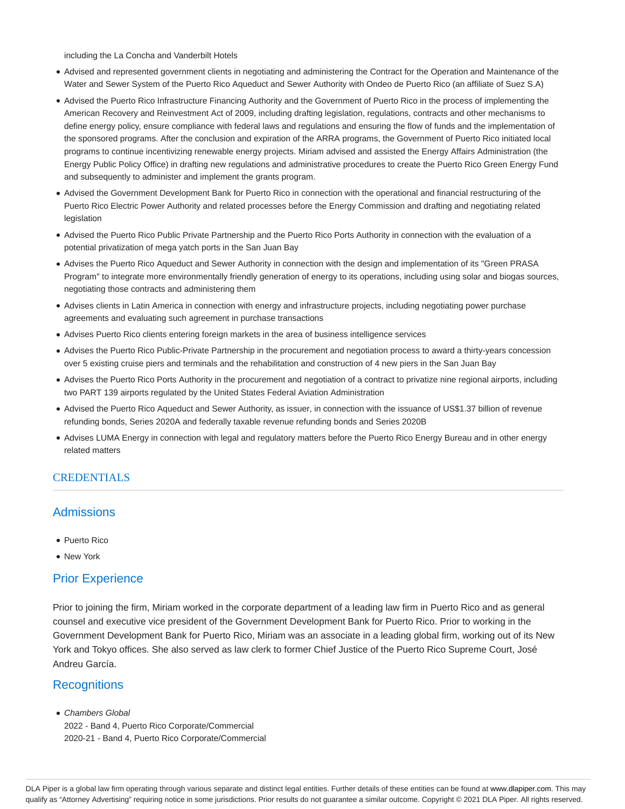including the La Concha and Vanderbilt Hotels

- Advised and represented government clients in negotiating and administering the Contract for the Operation and Maintenance of the Water and Sewer System of the Puerto Rico Aqueduct and Sewer Authority with Ondeo de Puerto Rico (an affiliate of Suez S.A)
- Advised the Puerto Rico Infrastructure Financing Authority and the Government of Puerto Rico in the process of implementing the American Recovery and Reinvestment Act of 2009, including drafting legislation, regulations, contracts and other mechanisms to define energy policy, ensure compliance with federal laws and regulations and ensuring the flow of funds and the implementation of the sponsored programs. After the conclusion and expiration of the ARRA programs, the Government of Puerto Rico initiated local programs to continue incentivizing renewable energy projects. Miriam advised and assisted the Energy Affairs Administration (the Energy Public Policy Office) in drafting new regulations and administrative procedures to create the Puerto Rico Green Energy Fund and subsequently to administer and implement the grants program.
- Advised the Government Development Bank for Puerto Rico in connection with the operational and financial restructuring of the Puerto Rico Electric Power Authority and related processes before the Energy Commission and drafting and negotiating related legislation
- Advised the Puerto Rico Public Private Partnership and the Puerto Rico Ports Authority in connection with the evaluation of a potential privatization of mega yatch ports in the San Juan Bay
- Advises the Puerto Rico Aqueduct and Sewer Authority in connection with the design and implementation of its "Green PRASA Program" to integrate more environmentally friendly generation of energy to its operations, including using solar and biogas sources, negotiating those contracts and administering them
- Advises clients in Latin America in connection with energy and infrastructure projects, including negotiating power purchase agreements and evaluating such agreement in purchase transactions
- Advises Puerto Rico clients entering foreign markets in the area of business intelligence services
- Advises the Puerto Rico Public-Private Partnership in the procurement and negotiation process to award a thirty-years concession over 5 existing cruise piers and terminals and the rehabilitation and construction of 4 new piers in the San Juan Bay
- Advises the Puerto Rico Ports Authority in the procurement and negotiation of a contract to privatize nine regional airports, including two PART 139 airports regulated by the United States Federal Aviation Administration
- Advised the Puerto Rico Aqueduct and Sewer Authority, as issuer, in connection with the issuance of US\$1.37 billion of revenue refunding bonds, Series 2020A and federally taxable revenue refunding bonds and Series 2020B
- Advises LUMA Energy in connection with legal and regulatory matters before the Puerto Rico Energy Bureau and in other energy related matters

#### **CREDENTIALS**

## **Admissions**

- Puerto Rico
- New York

#### Prior Experience

Prior to joining the firm, Miriam worked in the corporate department of a leading law firm in Puerto Rico and as general counsel and executive vice president of the Government Development Bank for Puerto Rico. Prior to working in the Government Development Bank for Puerto Rico, Miriam was an associate in a leading global firm, working out of its New York and Tokyo offices. She also served as law clerk to former Chief Justice of the Puerto Rico Supreme Court, José Andreu García.

## **Recognitions**

Chambers Global 2022 - Band 4, Puerto Rico Corporate/Commercial 2020-21 - Band 4, Puerto Rico Corporate/Commercial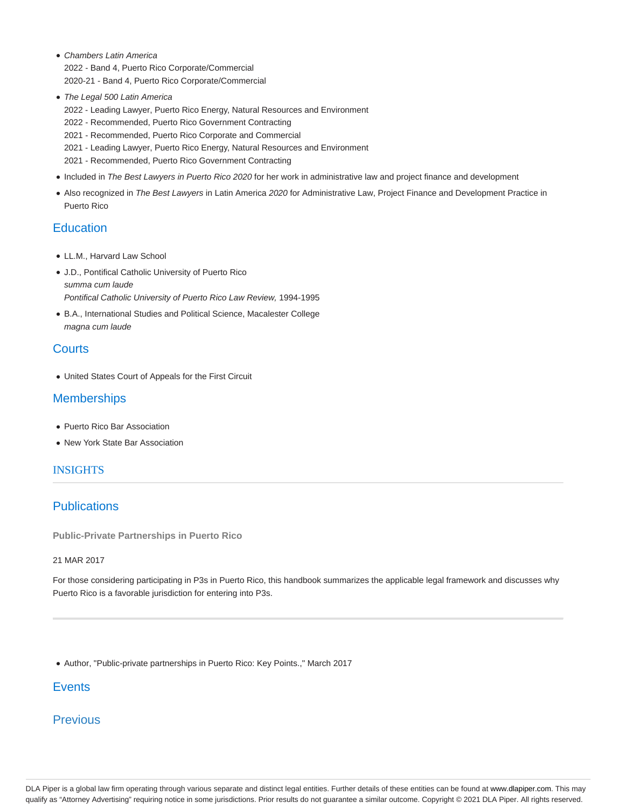- Chambers Latin America 2022 - Band 4, Puerto Rico Corporate/Commercial 2020-21 - Band 4, Puerto Rico Corporate/Commercial
- The Legal 500 Latin America
	- 2022 Leading Lawyer, Puerto Rico Energy, Natural Resources and Environment
	- 2022 Recommended, Puerto Rico Government Contracting
	- 2021 Recommended, Puerto Rico Corporate and Commercial
	- 2021 Leading Lawyer, Puerto Rico Energy, Natural Resources and Environment
	- 2021 Recommended, Puerto Rico Government Contracting
- Included in The Best Lawyers in Puerto Rico 2020 for her work in administrative law and project finance and development
- Also recognized in The Best Lawyers in Latin America 2020 for Administrative Law, Project Finance and Development Practice in Puerto Rico

## **Education**

- LL.M., Harvard Law School
- J.D., Pontifical Catholic University of Puerto Rico summa cum laude Pontifical Catholic University of Puerto Rico Law Review, 1994-1995
- B.A., International Studies and Political Science, Macalester College magna cum laude

# **Courts**

United States Court of Appeals for the First Circuit

## **Memberships**

- Puerto Rico Bar Association
- New York State Bar Association

#### **INSIGHTS**

# **Publications**

**Public-Private Partnerships in Puerto Rico**

#### 21 MAR 2017

For those considering participating in P3s in Puerto Rico, this handbook summarizes the applicable legal framework and discusses why Puerto Rico is a favorable jurisdiction for entering into P3s.

Author, "Public-private partnerships in Puerto Rico: Key Points.," March 2017

# **Events**

# **Previous**

DLA Piper is a global law firm operating through various separate and distinct legal entities. Further details of these entities can be found at www.dlapiper.com. This may qualify as "Attorney Advertising" requiring notice in some jurisdictions. Prior results do not guarantee a similar outcome. Copyright © 2021 DLA Piper. All rights reserved.